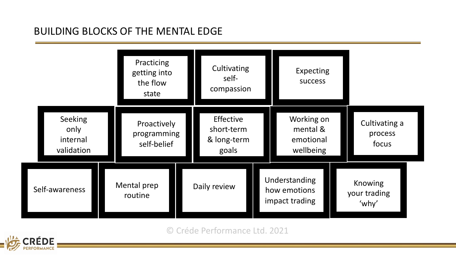## BUILDING BLOCKS OF THE MENTAL EDGE

|                                           |                                           | Practicing<br>getting into<br>the flow<br>state |  | Cultivating<br>self-<br>compassion              |  | Expecting<br><b>SUCCESS</b>                      |  |                                   |  |
|-------------------------------------------|-------------------------------------------|-------------------------------------------------|--|-------------------------------------------------|--|--------------------------------------------------|--|-----------------------------------|--|
| Seeking<br>only<br>internal<br>validation | Proactively<br>programming<br>self-belief |                                                 |  | Effective<br>short-term<br>& long-term<br>goals |  | Working on<br>mental &<br>emotional<br>wellbeing |  | Cultivating a<br>process<br>focus |  |
| Self-awareness                            | Mental prep<br>routine                    |                                                 |  | Daily review                                    |  | Understanding<br>how emotions<br>impact trading  |  | Knowing<br>your trading<br>'why'  |  |

© Créde Performance Ltd. 2021

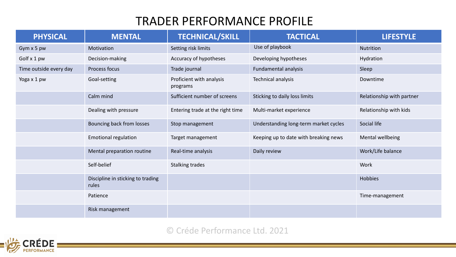## TRADER PERFORMANCE PROFILE

| <b>PHYSICAL</b>        | <b>MENTAL</b>                              | <b>TECHNICAL/SKILL</b>               | <b>TACTICAL</b>                       | <b>LIFESTYLE</b>          |  |
|------------------------|--------------------------------------------|--------------------------------------|---------------------------------------|---------------------------|--|
| Gym x 5 pw             | Motivation                                 | Setting risk limits                  | Use of playbook                       | <b>Nutrition</b>          |  |
| Golf x 1 pw            | Decision-making                            | Accuracy of hypotheses               | Developing hypotheses                 | Hydration                 |  |
| Time outside every day | Process focus                              | Trade journal                        | Fundamental analysis                  | Sleep                     |  |
| Yoga x 1 pw            | Goal-setting                               | Proficient with analysis<br>programs | Technical analysis                    | Downtime                  |  |
|                        | Calm mind                                  | Sufficient number of screens         | Sticking to daily loss limits         | Relationship with partner |  |
|                        | Dealing with pressure                      | Entering trade at the right time     | Multi-market experience               | Relationship with kids    |  |
|                        | Bouncing back from losses                  | Stop management                      | Understanding long-term market cycles | Social life               |  |
|                        | <b>Emotional regulation</b>                | Target management                    | Keeping up to date with breaking news | Mental wellbeing          |  |
|                        | Mental preparation routine                 | Real-time analysis                   | Daily review                          | Work/Life balance         |  |
|                        | Self-belief                                | <b>Stalking trades</b>               |                                       | Work                      |  |
|                        | Discipline in sticking to trading<br>rules |                                      |                                       | Hobbies                   |  |
|                        | Patience                                   |                                      |                                       | Time-management           |  |
|                        | Risk management                            |                                      |                                       |                           |  |

## © Créde Performance Ltd. 2021